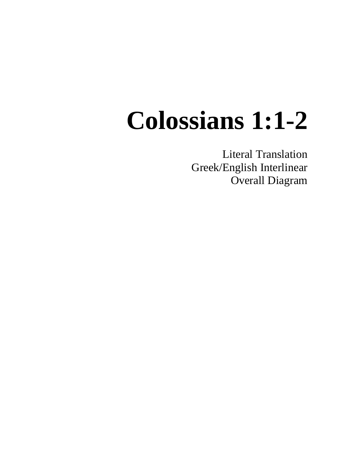## **Colossians 1:1-2**

Literal Translation Greek/English Interlinear Overall Diagram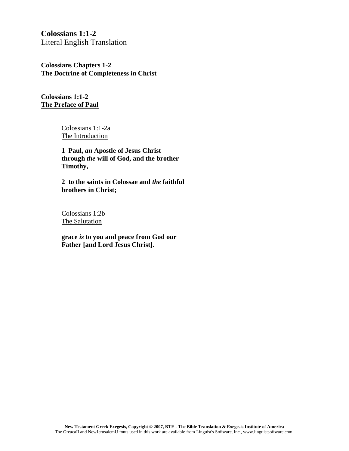**Colossians 1:1-2** Literal English Translation

**Colossians Chapters 1-2 The Doctrine of Completeness in Christ**

**Colossians 1:1-2 The Preface of Paul**

> Colossians 1:1-2a The Introduction

**1 Paul,** *an* **Apostle of Jesus Christ through** *the* **will of God, and the brother Timothy,**

**2 to the saints in Colossae and** *the* **faithful brothers in Christ;**

Colossians 1:2b The Salutation

**grace** *is* **to you and peace from God our Father [and Lord Jesus Christ].**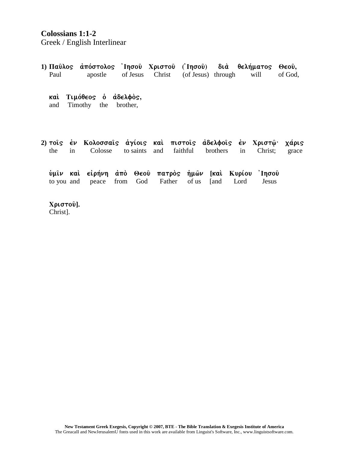## Colossians 1:1-2

Greek / English Interlinear

| Paul                                                   |    | 1) Παῦλος ἀπόστολος Ἰησοῦ Χριστοῦ (Ἰησοῦ) διὰ θελήματος<br>apostle of Jesus Christ (of Jesus) through |      |           |     |              |          |      | will    | $\Theta$ $\epsilon$ o $\hat{\nu}$ ,<br>of God, |
|--------------------------------------------------------|----|-------------------------------------------------------------------------------------------------------|------|-----------|-----|--------------|----------|------|---------|------------------------------------------------|
| Τιμόθεος ο αδελφος,<br>καὶ<br>and Timothy the brother, |    |                                                                                                       |      |           |     |              |          |      |         |                                                |
| the                                                    | in | 2) τοῖς ἐν Κολοσσαῖς ἁγίοις καὶ πιστοῖς ἀδελφοῖς ἐν Χριστῷ· χάρις<br>Colosse                          |      | to saints | and | faithful     | brothers | in   | Christ; | grace                                          |
|                                                        |    | ύμιν και είρήνη άπό Θεού πατρός ήμων [και Κυρίου Τησού<br>to you and peace                            | from | God       |     | Father of us | [and]    | Lord | Jesus   |                                                |
| Χριστού].                                              |    |                                                                                                       |      |           |     |              |          |      |         |                                                |

 $C$ hrist].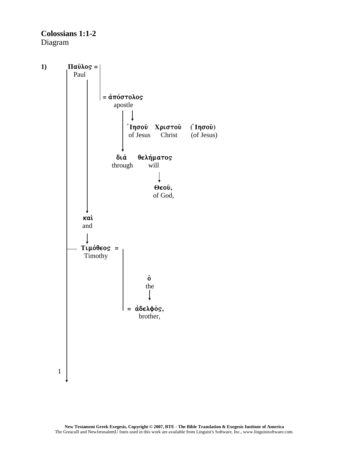**Colossians 1:1-2** Diagram